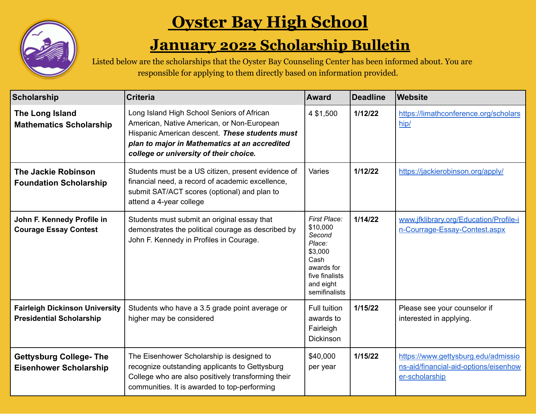

## **Oyster Bay High School**

## **January 2022 Scholarship Bulletin**

Listed below are the scholarships that the Oyster Bay Counseling Center has been informed about. You are responsible for applying to them directly based on information provided.

| <b>Scholarship</b>                                                       | <b>Criteria</b>                                                                                                                                                                                                                       | <b>Award</b>                                                                                                                  | <b>Deadline</b> | <b>Website</b>                                                                                 |
|--------------------------------------------------------------------------|---------------------------------------------------------------------------------------------------------------------------------------------------------------------------------------------------------------------------------------|-------------------------------------------------------------------------------------------------------------------------------|-----------------|------------------------------------------------------------------------------------------------|
| The Long Island<br><b>Mathematics Scholarship</b>                        | Long Island High School Seniors of African<br>American, Native American, or Non-European<br>Hispanic American descent. These students must<br>plan to major in Mathematics at an accredited<br>college or university of their choice. | 4 \$1,500                                                                                                                     | 1/12/22         | https://limathconference.org/scholars<br>hip/                                                  |
| <b>The Jackie Robinson</b><br><b>Foundation Scholarship</b>              | Students must be a US citizen, present evidence of<br>financial need, a record of academic excellence,<br>submit SAT/ACT scores (optional) and plan to<br>attend a 4-year college                                                     | Varies                                                                                                                        | 1/12/22         | https://jackierobinson.org/apply/                                                              |
| John F. Kennedy Profile in<br><b>Courage Essay Contest</b>               | Students must submit an original essay that<br>demonstrates the political courage as described by<br>John F. Kennedy in Profiles in Courage.                                                                                          | First Place:<br>\$10,000<br>Second<br>Place:<br>\$3,000<br>Cash<br>awards for<br>five finalists<br>and eight<br>semifinalists | 1/14/22         | www.jfklibrary.org/Education/Profile-i<br>n-Courrage-Essay-Contest.aspx                        |
| <b>Fairleigh Dickinson University</b><br><b>Presidential Scholarship</b> | Students who have a 3.5 grade point average or<br>higher may be considered                                                                                                                                                            | <b>Full tuition</b><br>awards to<br>Fairleigh<br><b>Dickinson</b>                                                             | 1/15/22         | Please see your counselor if<br>interested in applying.                                        |
| <b>Gettysburg College- The</b><br><b>Eisenhower Scholarship</b>          | The Eisenhower Scholarship is designed to<br>recognize outstanding applicants to Gettysburg<br>College who are also positively transforming their<br>communities. It is awarded to top-performing                                     | \$40,000<br>per year                                                                                                          | 1/15/22         | https://www.gettysburg.edu/admissio<br>ns-aid/financial-aid-options/eisenhow<br>er-scholarship |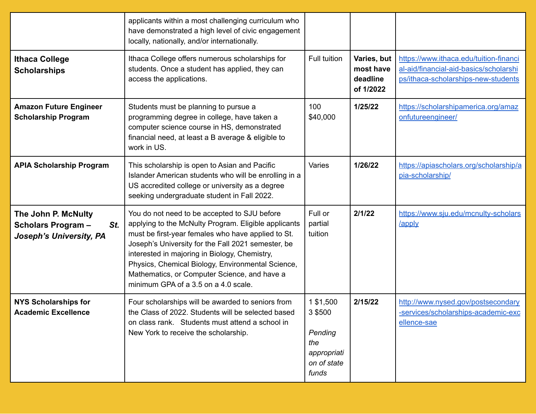|                                                                                   | applicants within a most challenging curriculum who<br>have demonstrated a high level of civic engagement<br>locally, nationally, and/or internationally.                                                                                                                                                                                                                                                      |                                                                               |                                                   |                                                                                                                         |
|-----------------------------------------------------------------------------------|----------------------------------------------------------------------------------------------------------------------------------------------------------------------------------------------------------------------------------------------------------------------------------------------------------------------------------------------------------------------------------------------------------------|-------------------------------------------------------------------------------|---------------------------------------------------|-------------------------------------------------------------------------------------------------------------------------|
| <b>Ithaca College</b><br><b>Scholarships</b>                                      | Ithaca College offers numerous scholarships for<br>students. Once a student has applied, they can<br>access the applications.                                                                                                                                                                                                                                                                                  | Full tuition                                                                  | Varies, but<br>most have<br>deadline<br>of 1/2022 | https://www.ithaca.edu/tuition-financi<br>al-aid/financial-aid-basics/scholarshi<br>ps/ithaca-scholarships-new-students |
| <b>Amazon Future Engineer</b><br><b>Scholarship Program</b>                       | Students must be planning to pursue a<br>programming degree in college, have taken a<br>computer science course in HS, demonstrated<br>financial need, at least a B average & eligible to<br>work in US.                                                                                                                                                                                                       | 100<br>\$40,000                                                               | 1/25/22                                           | https://scholarshipamerica.org/amaz<br>onfutureengineer/                                                                |
| <b>APIA Scholarship Program</b>                                                   | This scholarship is open to Asian and Pacific<br>Islander American students who will be enrolling in a<br>US accredited college or university as a degree<br>seeking undergraduate student in Fall 2022.                                                                                                                                                                                                       | Varies                                                                        | 1/26/22                                           | https://apiascholars.org/scholarship/a<br>pia-scholarship/                                                              |
| The John P. McNulty<br><b>Scholars Program-</b><br>St.<br>Joseph's University, PA | You do not need to be accepted to SJU before<br>applying to the McNulty Program. Eligible applicants<br>must be first-year females who have applied to St.<br>Joseph's University for the Fall 2021 semester, be<br>interested in majoring in Biology, Chemistry,<br>Physics, Chemical Biology, Environmental Science,<br>Mathematics, or Computer Science, and have a<br>minimum GPA of a 3.5 on a 4.0 scale. | Full or<br>partial<br>tuition                                                 | 2/1/22                                            | https://www.sju.edu/mcnulty-scholars<br>/apply                                                                          |
| <b>NYS Scholarships for</b><br><b>Academic Excellence</b>                         | Four scholarships will be awarded to seniors from<br>the Class of 2022. Students will be selected based<br>on class rank. Students must attend a school in<br>New York to receive the scholarship.                                                                                                                                                                                                             | 1 \$1,500<br>3 \$500<br>Pending<br>the<br>appropriati<br>on of state<br>funds | 2/15/22                                           | http://www.nysed.gov/postsecondary<br>-services/scholarships-academic-exc<br>ellence-sae                                |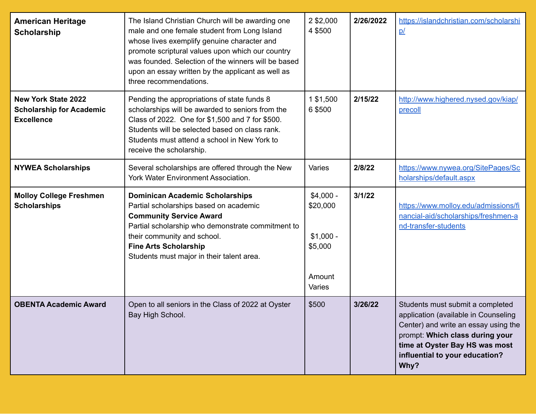| <b>American Heritage</b><br>Scholarship                                            | The Island Christian Church will be awarding one<br>male and one female student from Long Island<br>whose lives exemplify genuine character and<br>promote scriptural values upon which our country<br>was founded. Selection of the winners will be based<br>upon an essay written by the applicant as well as<br>three recommendations. | 2 \$2,000<br>4 \$500                                                | 2/26/2022 | https://islandchristian.com/scholarshi<br>p/                                                                                                                                                                                    |
|------------------------------------------------------------------------------------|-------------------------------------------------------------------------------------------------------------------------------------------------------------------------------------------------------------------------------------------------------------------------------------------------------------------------------------------|---------------------------------------------------------------------|-----------|---------------------------------------------------------------------------------------------------------------------------------------------------------------------------------------------------------------------------------|
| <b>New York State 2022</b><br><b>Scholarship for Academic</b><br><b>Excellence</b> | Pending the appropriations of state funds 8<br>scholarships will be awarded to seniors from the<br>Class of 2022. One for \$1,500 and 7 for \$500.<br>Students will be selected based on class rank.<br>Students must attend a school in New York to<br>receive the scholarship.                                                          | 1 \$1,500<br>6 \$500                                                | 2/15/22   | http://www.highered.nysed.gov/kiap/<br>precoll                                                                                                                                                                                  |
| <b>NYWEA Scholarships</b>                                                          | Several scholarships are offered through the New<br>York Water Environment Association.                                                                                                                                                                                                                                                   | Varies                                                              | 2/8/22    | https://www.nywea.org/SitePages/Sc<br>holarships/default.aspx                                                                                                                                                                   |
| <b>Molloy College Freshmen</b><br><b>Scholarships</b>                              | <b>Dominican Academic Scholarships</b><br>Partial scholarships based on academic<br><b>Community Service Award</b><br>Partial scholarship who demonstrate commitment to<br>their community and school.<br><b>Fine Arts Scholarship</b><br>Students must major in their talent area.                                                       | $$4,000 -$<br>\$20,000<br>$$1,000 -$<br>\$5,000<br>Amount<br>Varies | 3/1/22    | https://www.molloy.edu/admissions/fi<br>nancial-aid/scholarships/freshmen-a<br>nd-transfer-students                                                                                                                             |
| <b>OBENTA Academic Award</b>                                                       | Open to all seniors in the Class of 2022 at Oyster<br>Bay High School.                                                                                                                                                                                                                                                                    | \$500                                                               | 3/26/22   | Students must submit a completed<br>application (available in Counseling<br>Center) and write an essay using the<br>prompt: Which class during your<br>time at Oyster Bay HS was most<br>influential to your education?<br>Why? |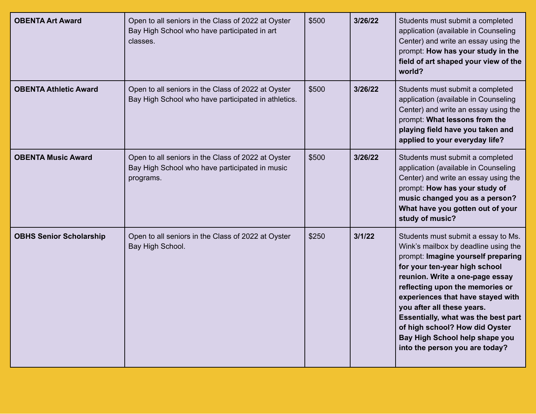| <b>OBENTA Art Award</b>        | Open to all seniors in the Class of 2022 at Oyster<br>Bay High School who have participated in art<br>classes.    | \$500 | 3/26/22 | Students must submit a completed<br>application (available in Counseling<br>Center) and write an essay using the<br>prompt: How has your study in the<br>field of art shaped your view of the<br>world?                                                                                                                                                                                                                                         |
|--------------------------------|-------------------------------------------------------------------------------------------------------------------|-------|---------|-------------------------------------------------------------------------------------------------------------------------------------------------------------------------------------------------------------------------------------------------------------------------------------------------------------------------------------------------------------------------------------------------------------------------------------------------|
| <b>OBENTA Athletic Award</b>   | Open to all seniors in the Class of 2022 at Oyster<br>Bay High School who have participated in athletics.         | \$500 | 3/26/22 | Students must submit a completed<br>application (available in Counseling<br>Center) and write an essay using the<br>prompt: What lessons from the<br>playing field have you taken and<br>applied to your everyday life?                                                                                                                                                                                                                         |
| <b>OBENTA Music Award</b>      | Open to all seniors in the Class of 2022 at Oyster<br>Bay High School who have participated in music<br>programs. | \$500 | 3/26/22 | Students must submit a completed<br>application (available in Counseling<br>Center) and write an essay using the<br>prompt: How has your study of<br>music changed you as a person?<br>What have you gotten out of your<br>study of music?                                                                                                                                                                                                      |
| <b>OBHS Senior Scholarship</b> | Open to all seniors in the Class of 2022 at Oyster<br>Bay High School.                                            | \$250 | 3/1/22  | Students must submit a essay to Ms.<br>Wink's mailbox by deadline using the<br>prompt: Imagine yourself preparing<br>for your ten-year high school<br>reunion. Write a one-page essay<br>reflecting upon the memories or<br>experiences that have stayed with<br>you after all these years.<br><b>Essentially, what was the best part</b><br>of high school? How did Oyster<br>Bay High School help shape you<br>into the person you are today? |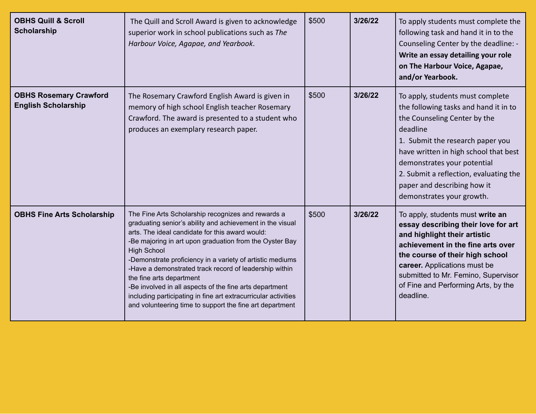| <b>OBHS Quill &amp; Scroll</b><br><b>Scholarship</b>        | The Quill and Scroll Award is given to acknowledge<br>superior work in school publications such as The<br>Harbour Voice, Agapae, and Yearbook.                                                                                                                                                                                                                                                                                                                                                                                                                                                  | \$500 | 3/26/22 | To apply students must complete the<br>following task and hand it in to the<br>Counseling Center by the deadline: -<br>Write an essay detailing your role<br>on The Harbour Voice, Agapae,<br>and/or Yearbook.                                                                                                                          |
|-------------------------------------------------------------|-------------------------------------------------------------------------------------------------------------------------------------------------------------------------------------------------------------------------------------------------------------------------------------------------------------------------------------------------------------------------------------------------------------------------------------------------------------------------------------------------------------------------------------------------------------------------------------------------|-------|---------|-----------------------------------------------------------------------------------------------------------------------------------------------------------------------------------------------------------------------------------------------------------------------------------------------------------------------------------------|
| <b>OBHS Rosemary Crawford</b><br><b>English Scholarship</b> | The Rosemary Crawford English Award is given in<br>memory of high school English teacher Rosemary<br>Crawford. The award is presented to a student who<br>produces an exemplary research paper.                                                                                                                                                                                                                                                                                                                                                                                                 | \$500 | 3/26/22 | To apply, students must complete<br>the following tasks and hand it in to<br>the Counseling Center by the<br>deadline<br>1. Submit the research paper you<br>have written in high school that best<br>demonstrates your potential<br>2. Submit a reflection, evaluating the<br>paper and describing how it<br>demonstrates your growth. |
| <b>OBHS Fine Arts Scholarship</b>                           | The Fine Arts Scholarship recognizes and rewards a<br>graduating senior's ability and achievement in the visual<br>arts. The ideal candidate for this award would:<br>-Be majoring in art upon graduation from the Oyster Bay<br><b>High School</b><br>-Demonstrate proficiency in a variety of artistic mediums<br>-Have a demonstrated track record of leadership within<br>the fine arts department<br>-Be involved in all aspects of the fine arts department<br>including participating in fine art extracurricular activities<br>and volunteering time to support the fine art department | \$500 | 3/26/22 | To apply, students must write an<br>essay describing their love for art<br>and highlight their artistic<br>achievement in the fine arts over<br>the course of their high school<br>career. Applications must be<br>submitted to Mr. Femino, Supervisor<br>of Fine and Performing Arts, by the<br>deadline.                              |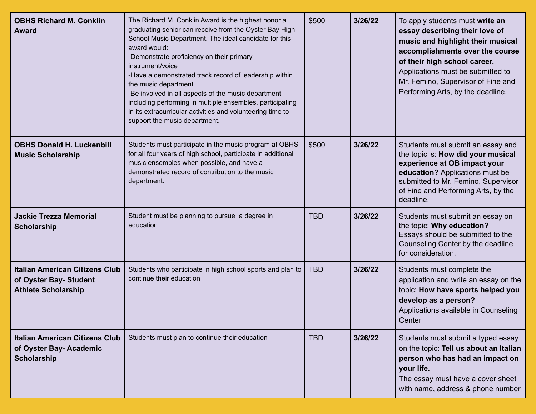| <b>OBHS Richard M. Conklin</b><br><b>Award</b>                                                | The Richard M. Conklin Award is the highest honor a<br>graduating senior can receive from the Oyster Bay High<br>School Music Department. The ideal candidate for this<br>award would:<br>-Demonstrate proficiency on their primary<br>instrument/voice<br>-Have a demonstrated track record of leadership within<br>the music department<br>-Be involved in all aspects of the music department<br>including performing in multiple ensembles, participating<br>in its extracurricular activities and volunteering time to<br>support the music department. | \$500      | 3/26/22 | To apply students must write an<br>essay describing their love of<br>music and highlight their musical<br>accomplishments over the course<br>of their high school career.<br>Applications must be submitted to<br>Mr. Femino, Supervisor of Fine and<br>Performing Arts, by the deadline. |
|-----------------------------------------------------------------------------------------------|--------------------------------------------------------------------------------------------------------------------------------------------------------------------------------------------------------------------------------------------------------------------------------------------------------------------------------------------------------------------------------------------------------------------------------------------------------------------------------------------------------------------------------------------------------------|------------|---------|-------------------------------------------------------------------------------------------------------------------------------------------------------------------------------------------------------------------------------------------------------------------------------------------|
| <b>OBHS Donald H. Luckenbill</b><br><b>Music Scholarship</b>                                  | Students must participate in the music program at OBHS<br>for all four years of high school, participate in additional<br>music ensembles when possible, and have a<br>demonstrated record of contribution to the music<br>department.                                                                                                                                                                                                                                                                                                                       | \$500      | 3/26/22 | Students must submit an essay and<br>the topic is: How did your musical<br>experience at OB impact your<br>education? Applications must be<br>submitted to Mr. Femino, Supervisor<br>of Fine and Performing Arts, by the<br>deadline.                                                     |
| <b>Jackie Trezza Memorial</b><br><b>Scholarship</b>                                           | Student must be planning to pursue a degree in<br>education                                                                                                                                                                                                                                                                                                                                                                                                                                                                                                  | <b>TBD</b> | 3/26/22 | Students must submit an essay on<br>the topic: Why education?<br>Essays should be submitted to the<br>Counseling Center by the deadline<br>for consideration.                                                                                                                             |
| <b>Italian American Citizens Club</b><br>of Oyster Bay- Student<br><b>Athlete Scholarship</b> | Students who participate in high school sports and plan to<br>continue their education                                                                                                                                                                                                                                                                                                                                                                                                                                                                       | <b>TBD</b> | 3/26/22 | Students must complete the<br>application and write an essay on the<br>topic: How have sports helped you<br>develop as a person?<br>Applications available in Counseling<br>Center                                                                                                        |
| <b>Italian American Citizens Club</b><br>of Oyster Bay-Academic<br><b>Scholarship</b>         | Students must plan to continue their education                                                                                                                                                                                                                                                                                                                                                                                                                                                                                                               | <b>TBD</b> | 3/26/22 | Students must submit a typed essay<br>on the topic: Tell us about an Italian<br>person who has had an impact on<br>your life.<br>The essay must have a cover sheet<br>with name, address & phone number                                                                                   |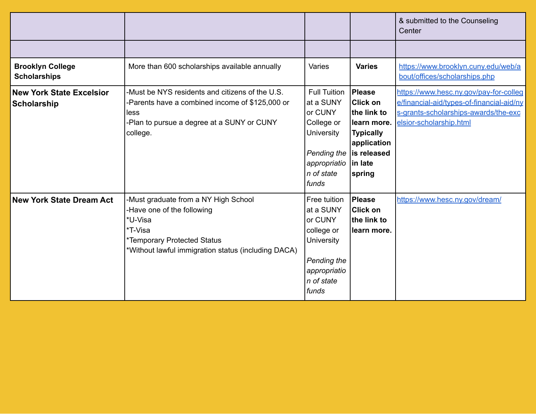|                                                       |                                                                                                                                                                                |                                                                                                                               |                                                                                                                                          | & submitted to the Counseling<br>Center                                                                                                                |
|-------------------------------------------------------|--------------------------------------------------------------------------------------------------------------------------------------------------------------------------------|-------------------------------------------------------------------------------------------------------------------------------|------------------------------------------------------------------------------------------------------------------------------------------|--------------------------------------------------------------------------------------------------------------------------------------------------------|
|                                                       |                                                                                                                                                                                |                                                                                                                               |                                                                                                                                          |                                                                                                                                                        |
| <b>Brooklyn College</b><br><b>Scholarships</b>        | More than 600 scholarships available annually                                                                                                                                  | Varies                                                                                                                        | <b>Varies</b>                                                                                                                            | https://www.brooklyn.cuny.edu/web/a<br>bout/offices/scholarships.php                                                                                   |
| <b>New York State Excelsior</b><br><b>Scholarship</b> | -Must be NYS residents and citizens of the U.S.<br>-Parents have a combined income of \$125,000 or<br>less<br>-Plan to pursue a degree at a SUNY or CUNY<br>college.           | <b>Full Tuition</b><br>at a SUNY<br>or CUNY<br>College or<br>University<br>Pending the<br>appropriatio<br>n of state<br>funds | <b>Please</b><br><b>Click on</b><br>lthe link to<br>learn more.<br><b>Typically</b><br>application<br>is released<br>∣in late<br> spring | https://www.hesc.ny.gov/pay-for-colleg<br>e/financial-aid/types-of-financial-aid/ny<br>s-grants-scholarships-awards/the-exc<br>elsior-scholarship.html |
| <b>New York State Dream Act</b>                       | -Must graduate from a NY High School<br>-Have one of the following<br>*U-Visa<br>*T-Visa<br>*Temporary Protected Status<br>*Without lawful immigration status (including DACA) | Free tuition<br>at a SUNY<br>or CUNY<br>college or<br><b>University</b><br>Pending the<br>appropriatio<br>n of state<br>funds | <b>Please</b><br><b>Click on</b><br>lthe link to<br>learn more.                                                                          | https://www.hesc.ny.gov/dream/                                                                                                                         |